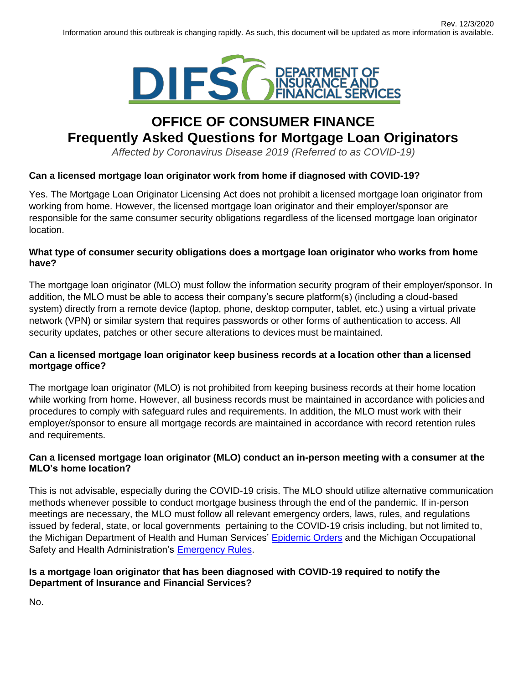

# **OFFICE OF CONSUMER FINANCE Frequently Asked Questions for Mortgage Loan Originators**

*Affected by Coronavirus Disease 2019 (Referred to as COVID-19)*

## **Can a licensed mortgage loan originator work from home if diagnosed with COVID-19?**

Yes. The Mortgage Loan Originator Licensing Act does not prohibit a licensed mortgage loan originator from working from home. However, the licensed mortgage loan originator and their employer/sponsor are responsible for the same consumer security obligations regardless of the licensed mortgage loan originator location.

#### **What type of consumer security obligations does a mortgage loan originator who works from home have?**

The mortgage loan originator (MLO) must follow the information security program of their employer/sponsor. In addition, the MLO must be able to access their company's secure platform(s) (including a cloud-based system) directly from a remote device (laptop, phone, desktop computer, tablet, etc.) using a virtual private network (VPN) or similar system that requires passwords or other forms of authentication to access. All security updates, patches or other secure alterations to devices must be maintained.

#### **Can a licensed mortgage loan originator keep business records at a location other than a licensed mortgage office?**

The mortgage loan originator (MLO) is not prohibited from keeping business records at their home location while working from home. However, all business records must be maintained in accordance with policies and procedures to comply with safeguard rules and requirements. In addition, the MLO must work with their employer/sponsor to ensure all mortgage records are maintained in accordance with record retention rules and requirements.

## **Can a licensed mortgage loan originator (MLO) conduct an in-person meeting with a consumer at the MLO's home location?**

This is not advisable, especially during the COVID-19 crisis. The MLO should utilize alternative communication methods whenever possible to conduct mortgage business through the end of the pandemic. If in-person meetings are necessary, the MLO must follow all relevant emergency orders, laws, rules, and regulations issued by federal, state, or local governments pertaining to the COVID-19 crisis including, but not limited to, the Michigan Department of Health and Human Services' [Epidemic Orders](https://www.michigan.gov/coronavirus/0,9753,7-406-98178_98455-533660--,00.html) and the Michigan Occupational Safety and Health Administration's [Emergency Rules.](https://www.michigan.gov/leo/0,5863,7-336-100207---,00.html)

#### **Is a mortgage loan originator that has been diagnosed with COVID-19 required to notify the Department of Insurance and Financial Services?**

No.